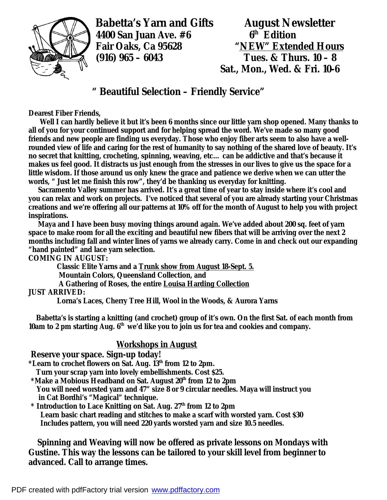

**Babetta's Yarn and Gifts August Newsletter**<br>4400 San Juan Ave. #6 6 6 6 fedition **4400 San Juan Ave. #6 6th Edition (916) 965 – 6043 Tues. & Thurs. 10 – 8** 

**Fair Oaks, Ca 95628 "NEW" Extended Hours Sat., Mon., Wed. & Fri. 10-6** 

# **" Beautiful Selection – Friendly Service"**

**Dearest Fiber Friends,** 

 **Well I can hardly believe it but it's been 6 months since our little yarn shop opened. Many thanks to all of you for your continued support and for helping spread the word. We've made so many good friends and new people are finding us everyday. Those who enjoy fiber arts seem to also have a wellrounded view of life and caring for the rest of humanity to say nothing of the shared love of beauty. It's no secret that knitting, crocheting, spinning, weaving, etc… can be addictive and that's because it makes us feel good. It distracts us just enough from the stresses in our lives to give us the space for a little wisdom. If those around us only knew the grace and patience we derive when we can utter the words, " Just let me finish this row", they'd be thanking us everyday for knitting.** 

 **Sacramento Valley summer has arrived. It's a great time of year to stay inside where it's cool and you can relax and work on projects. I've noticed that several of you are already starting your Christmas creations and we're offering all our patterns at 10% off for the month of August to help you with project inspirations.** 

 **Maya and I have been busy moving things around again. We've added about 200 sq. feet of yarn space to make room for all the exciting and beautiful new fibers that will be arriving over the next 2 months including fall and winter lines of yarns we already carry. Come in and check out our expanding "hand painted" and lace yarn selection.** 

**COMING IN AUGUST:** 

 **Classic Elite Yarns and a Trunk show from August 18-Sept. 5. Mountain Colors, Queensland Collection, and A Gathering of Roses, the entire Louisa Harding Collection**

### **JUST ARRIVED:**

 **Lorna's Laces, Cherry Tree Hill, Wool in the Woods, & Aurora Yarns** 

 **Babetta's is starting a knitting (and crochet) group of it's own. On the first Sat. of each month from 10am to 2 pm starting Aug. 6th we'd like you to join us for tea and cookies and company.** 

## **Workshops in August**

#### **Reserve your space. Sign-up today!**

**\*Learn to crochet flowers on Sat. Aug. 13th from 12 to 2pm.** 

 **Turn your scrap yarn into lovely embellishments. Cost \$25.** 

- **\*Make a Mobious Headband on Sat. August 20th from 12 to 2pm You will need worsted yarn and 47" size 8 or 9 circular needles. Maya will instruct you in Cat Bordhi's "Magical" technique.**
- **\* Introduction to Lace Knitting on Sat. Aug. 27th from 12 to 2pm Learn basic chart reading and stitches to make a scarf with worsted yarn. Cost \$30 Includes pattern, you will need 220 yards worsted yarn and size 10.5 needles.**

 **Spinning and Weaving will now be offered as private lessons on Mondays with Gustine. This way the lessons can be tailored to your skill level from beginner to advanced. Call to arrange times.**